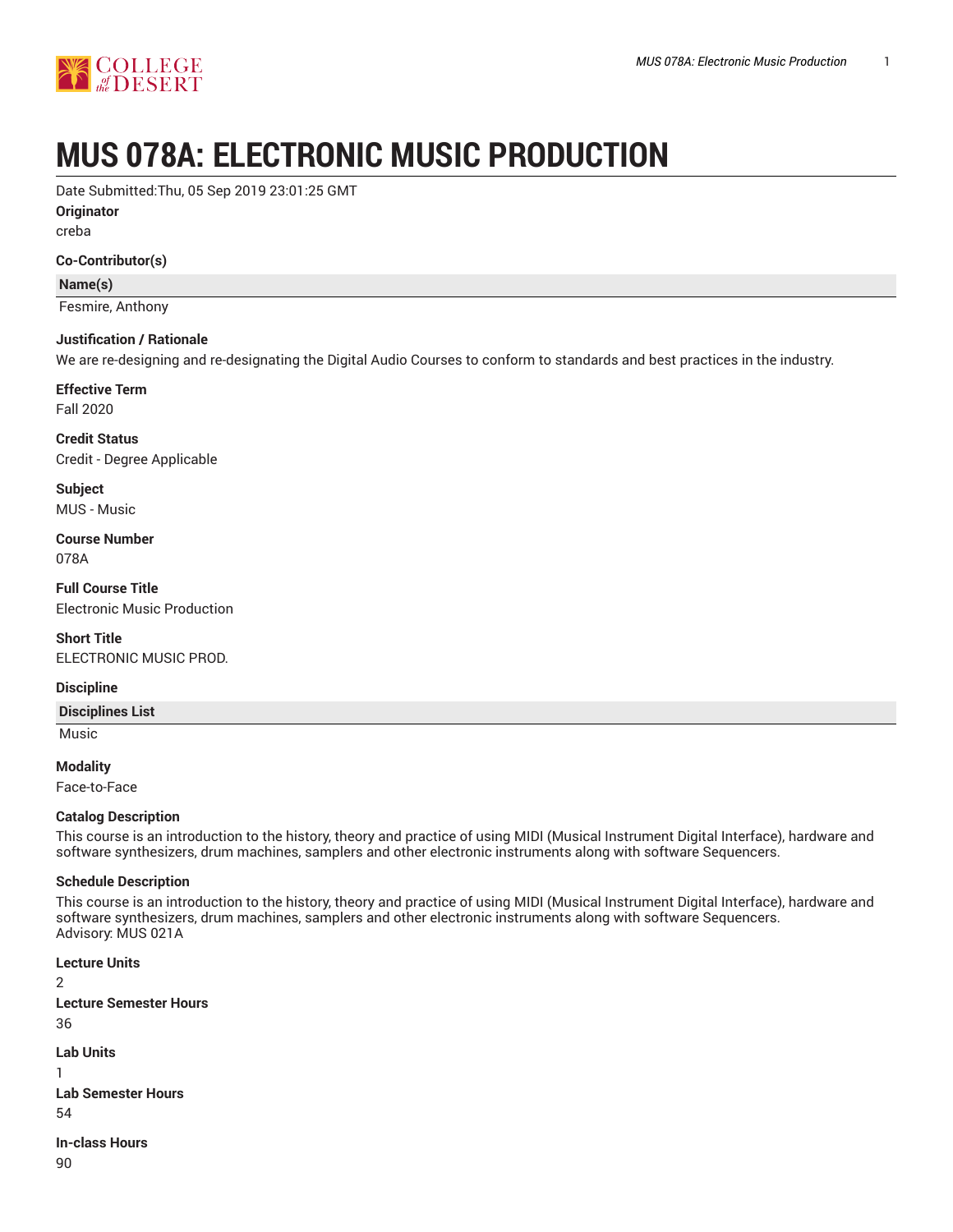

# **MUS 078A: ELECTRONIC MUSIC PRODUCTION**

Date Submitted:Thu, 05 Sep 2019 23:01:25 GMT

**Originator**

creba

**Co-Contributor(s)**

**Name(s)**

Fesmire, Anthony

#### **Justification / Rationale**

We are re-designing and re-designating the Digital Audio Courses to conform to standards and best practices in the industry.

# **Effective Term**

Fall 2020

**Credit Status** Credit - Degree Applicable

**Subject** MUS - Music

**Course Number** 078A

**Full Course Title** Electronic Music Production

**Short Title** ELECTRONIC MUSIC PROD.

#### **Discipline**

**Disciplines List**

Music

**Modality**

Face-to-Face

#### **Catalog Description**

This course is an introduction to the history, theory and practice of using MIDI (Musical Instrument Digital Interface), hardware and software synthesizers, drum machines, samplers and other electronic instruments along with software Sequencers.

#### **Schedule Description**

This course is an introduction to the history, theory and practice of using MIDI (Musical Instrument Digital Interface), hardware and software synthesizers, drum machines, samplers and other electronic instruments along with software Sequencers. Advisory: MUS 021A

```
Lecture Units
2
Lecture Semester Hours
36
Lab Units
1
Lab Semester Hours
54
In-class Hours
```
90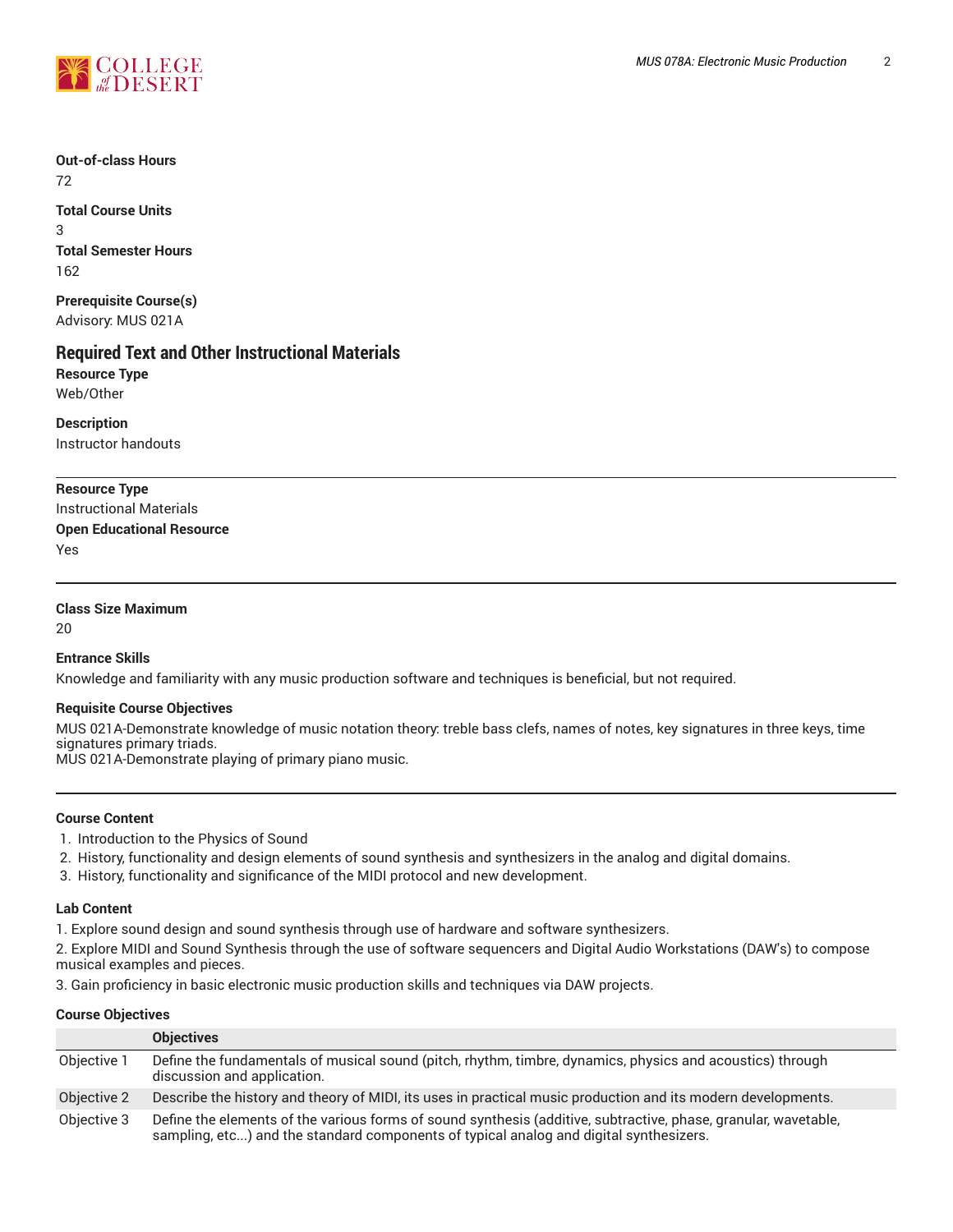

**Out-of-class Hours** 72

**Total Course Units** 3 **Total Semester Hours** 162

**Prerequisite Course(s)** Advisory: MUS 021A

# **Required Text and Other Instructional Materials**

**Resource Type** Web/Other

**Description** Instructor handouts

# **Resource Type**

Instructional Materials **Open Educational Resource** Yes

# **Class Size Maximum**

20

# **Entrance Skills**

Knowledge and familiarity with any music production software and techniques is beneficial, but not required.

# **Requisite Course Objectives**

MUS 021A-Demonstrate knowledge of music notation theory: treble bass clefs, names of notes, key signatures in three keys, time signatures primary triads. MUS 021A-Demonstrate playing of primary piano music.

**Course Content**

- 1. Introduction to the Physics of Sound
- 2. History, functionality and design elements of sound synthesis and synthesizers in the analog and digital domains.
- 3. History, functionality and significance of the MIDI protocol and new development.

#### **Lab Content**

1. Explore sound design and sound synthesis through use of hardware and software synthesizers.

2. Explore MIDI and Sound Synthesis through the use of software sequencers and Digital Audio Workstations (DAW's) to compose musical examples and pieces.

3. Gain proficiency in basic electronic music production skills and techniques via DAW projects.

# **Course Objectives**

|             | <b>Objectives</b>                                                                                                                                                                                         |
|-------------|-----------------------------------------------------------------------------------------------------------------------------------------------------------------------------------------------------------|
| Objective 1 | Define the fundamentals of musical sound (pitch, rhythm, timbre, dynamics, physics and acoustics) through<br>discussion and application.                                                                  |
| Objective 2 | Describe the history and theory of MIDI, its uses in practical music production and its modern developments.                                                                                              |
| Objective 3 | Define the elements of the various forms of sound synthesis (additive, subtractive, phase, granular, wavetable,<br>sampling, etc) and the standard components of typical analog and digital synthesizers. |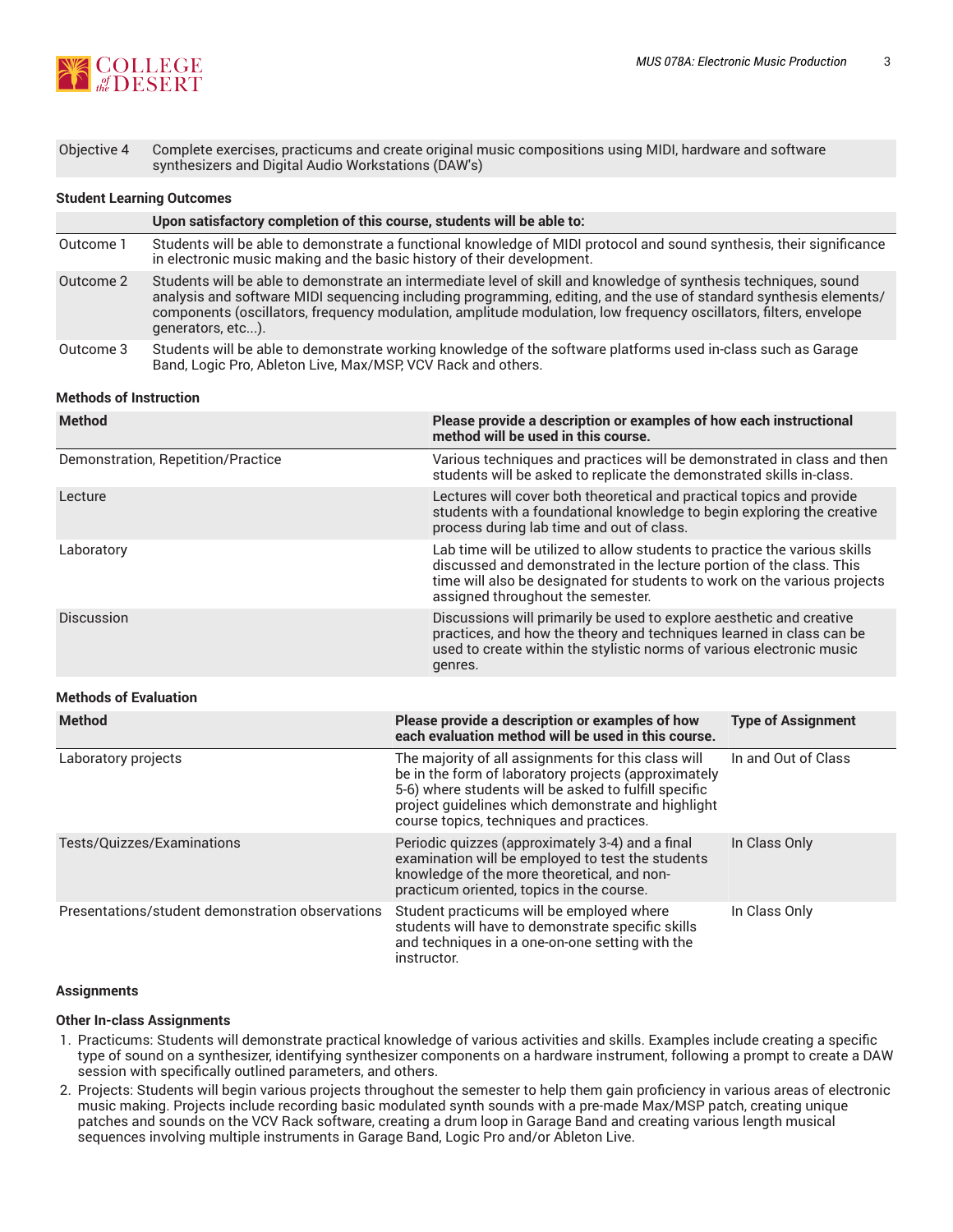

Objective 4 Complete exercises, practicums and create original music compositions using MIDI, hardware and software synthesizers and Digital Audio Workstations (DAW's)

#### **Student Learning Outcomes**

|           | Upon satisfactory completion of this course, students will be able to:                                                                                                                                                                                                                                                                                                          |
|-----------|---------------------------------------------------------------------------------------------------------------------------------------------------------------------------------------------------------------------------------------------------------------------------------------------------------------------------------------------------------------------------------|
| Outcome 1 | Students will be able to demonstrate a functional knowledge of MIDI protocol and sound synthesis, their significance<br>in electronic music making and the basic history of their development.                                                                                                                                                                                  |
| Outcome 2 | Students will be able to demonstrate an intermediate level of skill and knowledge of synthesis techniques, sound<br>analysis and software MIDI sequencing including programming, editing, and the use of standard synthesis elements/<br>components (oscillators, frequency modulation, amplitude modulation, low frequency oscillators, filters, envelope<br>generators, etc). |
| Outcome 3 | Students will be able to demonstrate working knowledge of the software platforms used in-class such as Garage<br>Band, Logic Pro, Ableton Live, Max/MSP, VCV Rack and others.                                                                                                                                                                                                   |

#### **Methods of Instruction**

| <b>Method</b>                                    | Please provide a description or examples of how each instructional<br>method will be used in this course.                                                                                                                                                              |                           |  |  |  |
|--------------------------------------------------|------------------------------------------------------------------------------------------------------------------------------------------------------------------------------------------------------------------------------------------------------------------------|---------------------------|--|--|--|
| Demonstration, Repetition/Practice               | Various techniques and practices will be demonstrated in class and then<br>students will be asked to replicate the demonstrated skills in-class.                                                                                                                       |                           |  |  |  |
| Lecture                                          | Lectures will cover both theoretical and practical topics and provide<br>students with a foundational knowledge to begin exploring the creative<br>process during lab time and out of class.                                                                           |                           |  |  |  |
| Laboratory                                       | Lab time will be utilized to allow students to practice the various skills<br>discussed and demonstrated in the lecture portion of the class. This<br>time will also be designated for students to work on the various projects<br>assigned throughout the semester.   |                           |  |  |  |
| Discussion                                       | Discussions will primarily be used to explore aesthetic and creative<br>practices, and how the theory and techniques learned in class can be<br>used to create within the stylistic norms of various electronic music<br>genres.                                       |                           |  |  |  |
| <b>Methods of Evaluation</b>                     |                                                                                                                                                                                                                                                                        |                           |  |  |  |
| <b>Method</b>                                    | Please provide a description or examples of how<br>each evaluation method will be used in this course.                                                                                                                                                                 | <b>Type of Assignment</b> |  |  |  |
| Laboratory projects                              | The majority of all assignments for this class will<br>be in the form of laboratory projects (approximately<br>5-6) where students will be asked to fulfill specific<br>project guidelines which demonstrate and highlight<br>course topics, techniques and practices. | In and Out of Class       |  |  |  |
| Tests/Quizzes/Examinations                       | Periodic quizzes (approximately 3-4) and a final<br>examination will be employed to test the students<br>knowledge of the more theoretical, and non-<br>practicum oriented, topics in the course.                                                                      | In Class Only             |  |  |  |
| Presentations/student demonstration observations | Student practicums will be employed where<br>students will have to demonstrate specific skills<br>and techniques in a one-on-one setting with the<br>instructor.                                                                                                       | In Class Only             |  |  |  |

#### **Assignments**

## **Other In-class Assignments**

- 1. Practicums: Students will demonstrate practical knowledge of various activities and skills. Examples include creating a specific type of sound on a synthesizer, identifying synthesizer components on a hardware instrument, following a prompt to create a DAW session with specifically outlined parameters, and others.
- 2. Projects: Students will begin various projects throughout the semester to help them gain proficiency in various areas of electronic music making. Projects include recording basic modulated synth sounds with a pre-made Max/MSP patch, creating unique patches and sounds on the VCV Rack software, creating a drum loop in Garage Band and creating various length musical sequences involving multiple instruments in Garage Band, Logic Pro and/or Ableton Live.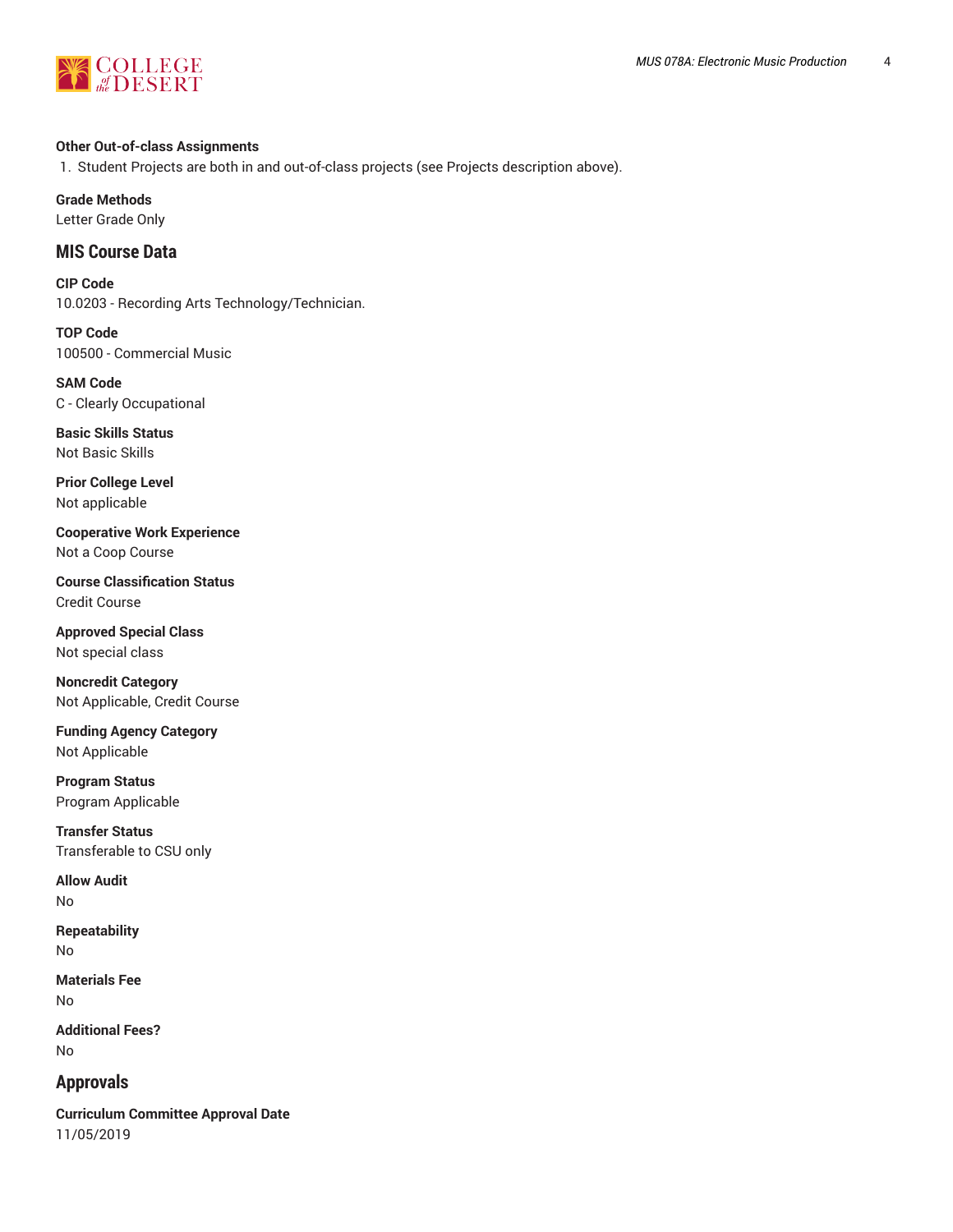



## **Other Out-of-class Assignments**

1. Student Projects are both in and out-of-class projects (see Projects description above).

**Grade Methods**

Letter Grade Only

# **MIS Course Data**

**CIP Code** 10.0203 - Recording Arts Technology/Technician.

**TOP Code** 100500 - Commercial Music

**SAM Code** C - Clearly Occupational

**Basic Skills Status** Not Basic Skills

**Prior College Level** Not applicable

**Cooperative Work Experience** Not a Coop Course

**Course Classification Status** Credit Course

**Approved Special Class** Not special class

**Noncredit Category** Not Applicable, Credit Course

**Funding Agency Category** Not Applicable

**Program Status** Program Applicable

**Transfer Status** Transferable to CSU only

**Allow Audit** No

**Repeatability** No

**Materials Fee** No

**Additional Fees?** No

# **Approvals**

**Curriculum Committee Approval Date** 11/05/2019